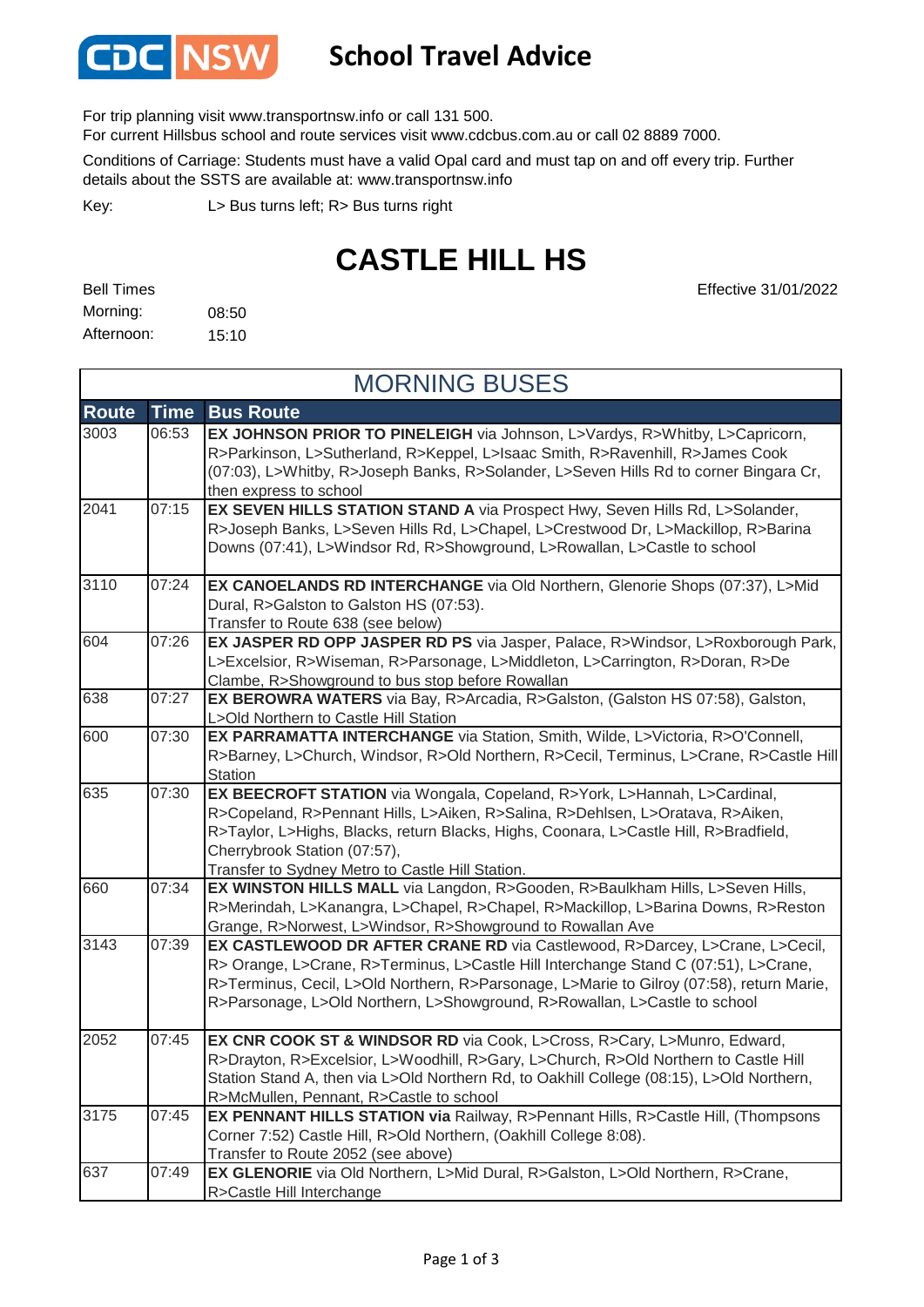

## **School Travel Advice**

For trip planning visit www.transportnsw.info or call 131 500.

For current Hillsbus school and route services visit www.cdcbus.com.au or call 02 8889 7000.

Conditions of Carriage: Students must have a valid Opal card and must tap on and off every trip. Further details about the SSTS are available at: www.transportnsw.info

L> Bus turns left; R> Bus turns right Key:

## **CASTLE HILL HS**

Effective 31/01/2022

| <b>Bell Times</b> |       |
|-------------------|-------|
| Morning:          | 08:50 |
| Afternoon:        | 15:10 |

| <b>MORNING BUSES</b> |             |                                                                                                                                                                                                                                                                                                                                             |
|----------------------|-------------|---------------------------------------------------------------------------------------------------------------------------------------------------------------------------------------------------------------------------------------------------------------------------------------------------------------------------------------------|
| <b>Route</b>         | <b>Time</b> | <b>Bus Route</b>                                                                                                                                                                                                                                                                                                                            |
| 3003                 | 06:53       | EX JOHNSON PRIOR TO PINELEIGH via Johnson, L>Vardys, R>Whitby, L>Capricorn,<br>R>Parkinson, L>Sutherland, R>Keppel, L>Isaac Smith, R>Ravenhill, R>James Cook<br>(07:03), L>Whitby, R>Joseph Banks, R>Solander, L>Seven Hills Rd to corner Bingara Cr,<br>then express to school                                                             |
| 2041                 | 07:15       | EX SEVEN HILLS STATION STAND A via Prospect Hwy, Seven Hills Rd, L>Solander,<br>R>Joseph Banks, L>Seven Hills Rd, L>Chapel, L>Crestwood Dr, L>Mackillop, R>Barina<br>Downs (07:41), L>Windsor Rd, R>Showground, L>Rowallan, L>Castle to school                                                                                              |
| 3110                 | 07:24       | EX CANOELANDS RD INTERCHANGE via Old Northern, Glenorie Shops (07:37), L>Mid<br>Dural, R>Galston to Galston HS (07:53).<br>Transfer to Route 638 (see below)                                                                                                                                                                                |
| 604                  | 07:26       | EX JASPER RD OPP JASPER RD PS via Jasper, Palace, R>Windsor, L>Roxborough Park,<br>L>Excelsior, R>Wiseman, R>Parsonage, L>Middleton, L>Carrington, R>Doran, R>De<br>Clambe, R>Showground to bus stop before Rowallan                                                                                                                        |
| 638                  | 07:27       | EX BEROWRA WATERS via Bay, R>Arcadia, R>Galston, (Galston HS 07:58), Galston,<br>L>Old Northern to Castle Hill Station                                                                                                                                                                                                                      |
| 600                  | 07:30       | EX PARRAMATTA INTERCHANGE via Station, Smith, Wilde, L>Victoria, R>O'Connell,<br>R>Barney, L>Church, Windsor, R>Old Northern, R>Cecil, Terminus, L>Crane, R>Castle Hill<br>Station                                                                                                                                                          |
| 635                  | 07:30       | EX BEECROFT STATION via Wongala, Copeland, R>York, L>Hannah, L>Cardinal,<br>R>Copeland, R>Pennant Hills, L>Aiken, R>Salina, R>Dehlsen, L>Oratava, R>Aiken,<br>R>Taylor, L>Highs, Blacks, return Blacks, Highs, Coonara, L>Castle Hill, R>Bradfield,<br>Cherrybrook Station (07:57),<br>Transfer to Sydney Metro to Castle Hill Station.     |
| 660                  | 07:34       | EX WINSTON HILLS MALL via Langdon, R>Gooden, R>Baulkham Hills, L>Seven Hills,<br>R>Merindah, L>Kanangra, L>Chapel, R>Chapel, R>Mackillop, L>Barina Downs, R>Reston<br>Grange, R>Norwest, L>Windsor, R>Showground to Rowallan Ave                                                                                                            |
| 3143                 | 07:39       | EX CASTLEWOOD DR AFTER CRANE RD via Castlewood, R>Darcey, L>Crane, L>Cecil,<br>R> Orange, L>Crane, R>Terminus, L>Castle Hill Interchange Stand C (07:51), L>Crane,<br>R>Terminus, Cecil, L>Old Northern, R>Parsonage, L>Marie to Gilroy (07:58), return Marie,<br>R>Parsonage, L>Old Northern, L>Showground, R>Rowallan, L>Castle to school |
| 2052                 | 07:45       | EX CNR COOK ST & WINDSOR RD via Cook, L>Cross, R>Cary, L>Munro, Edward,<br>R>Drayton, R>Excelsior, L>Woodhill, R>Gary, L>Church, R>Old Northern to Castle Hill<br>Station Stand A, then via L>Old Northern Rd, to Oakhill College (08:15), L>Old Northern,<br>R>McMullen, Pennant, R>Castle to school                                       |
| 3175                 | 07:45       | EX PENNANT HILLS STATION via Railway, R>Pennant Hills, R>Castle Hill, (Thompsons<br>Corner 7:52) Castle Hill, R>Old Northern, (Oakhill College 8:08).<br>Transfer to Route 2052 (see above)                                                                                                                                                 |
| 637                  | 07:49       | EX GLENORIE via Old Northern, L>Mid Dural, R>Galston, L>Old Northern, R>Crane,<br>R>Castle Hill Interchange                                                                                                                                                                                                                                 |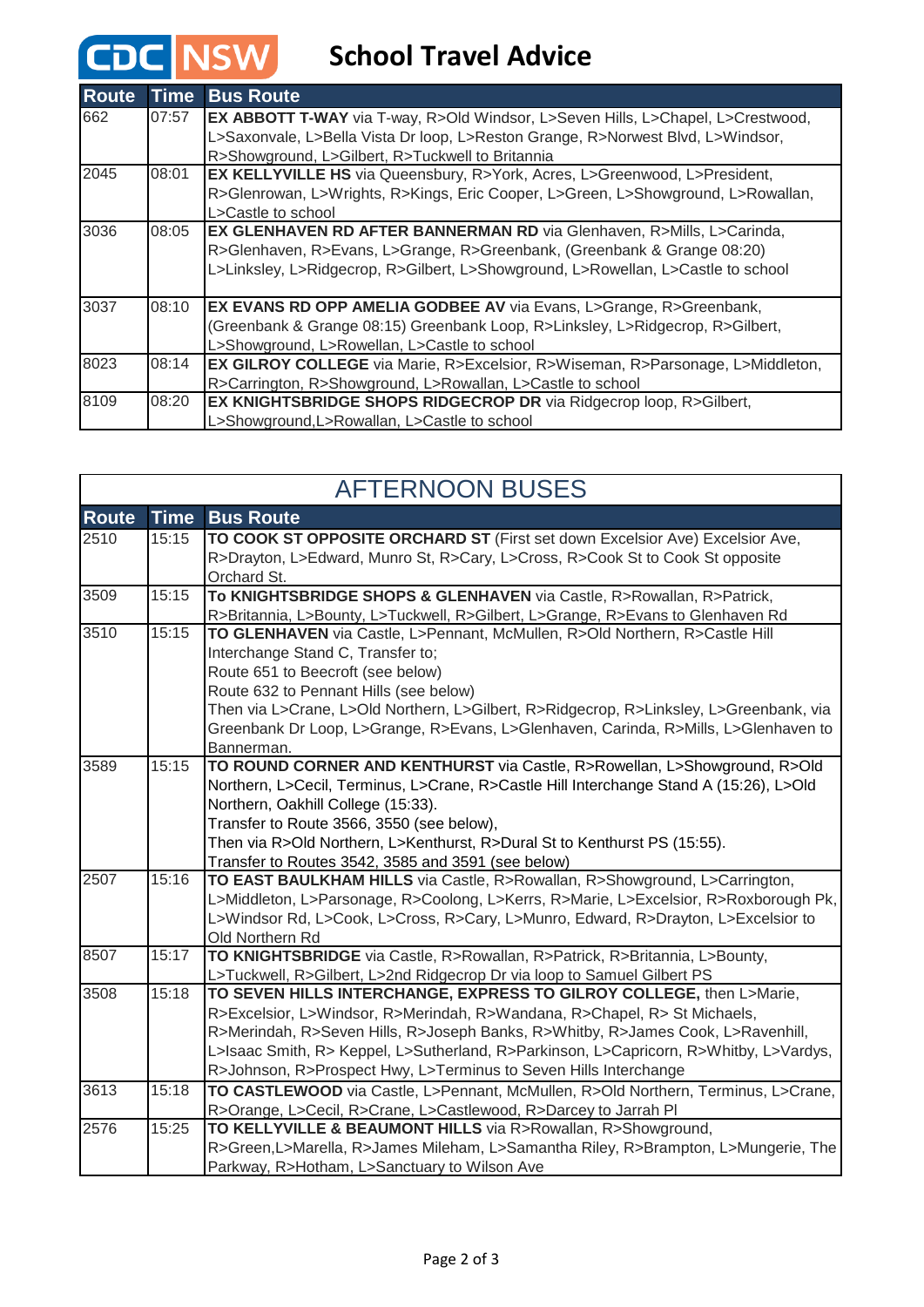## **CDC** NSW School Travel Advice

| <b>Route</b> | Time  | <b>Bus Route</b>                                                                       |
|--------------|-------|----------------------------------------------------------------------------------------|
| 662          | 07:57 | <b>EX ABBOTT T-WAY</b> via T-way, R>Old Windsor, L>Seven Hills, L>Chapel, L>Crestwood, |
|              |       | L>Saxonvale, L>Bella Vista Dr loop, L>Reston Grange, R>Norwest Blvd, L>Windsor,        |
|              |       | R>Showground, L>Gilbert, R>Tuckwell to Britannia                                       |
| 2045         | 08:01 | <b>EX KELLYVILLE HS</b> via Queensbury, R>York, Acres, L>Greenwood, L>President,       |
|              |       | R>Glenrowan, L>Wrights, R>Kings, Eric Cooper, L>Green, L>Showground, L>Rowallan,       |
|              |       | L>Castle to school                                                                     |
| 3036         | 08:05 | EX GLENHAVEN RD AFTER BANNERMAN RD via Glenhaven, R>Mills, L>Carinda,                  |
|              |       | R>Glenhaven, R>Evans, L>Grange, R>Greenbank, (Greenbank & Grange 08:20)                |
|              |       | L>Linksley, L>Ridgecrop, R>Gilbert, L>Showground, L>Rowellan, L>Castle to school       |
|              |       |                                                                                        |
| 3037         | 08:10 | <b>EX EVANS RD OPP AMELIA GODBEE AV</b> via Evans, L>Grange, R>Greenbank,              |
|              |       | (Greenbank & Grange 08:15) Greenbank Loop, R>Linksley, L>Ridgecrop, R>Gilbert,         |
|              |       | L>Showground, L>Rowellan, L>Castle to school                                           |
| 8023         | 08:14 | <b>EX GILROY COLLEGE</b> via Marie, R>Excelsior, R>Wiseman, R>Parsonage, L>Middleton,  |
|              |       | R>Carrington, R>Showground, L>Rowallan, L>Castle to school                             |
| 8109         | 08:20 | EX KNIGHTSBRIDGE SHOPS RIDGECROP DR via Ridgecrop loop, R>Gilbert,                     |
|              |       | L>Showground,L>Rowallan, L>Castle to school                                            |

| <b>AFTERNOON BUSES</b> |             |                                                                                                                                                                                                                                                                                                                                                                                                  |
|------------------------|-------------|--------------------------------------------------------------------------------------------------------------------------------------------------------------------------------------------------------------------------------------------------------------------------------------------------------------------------------------------------------------------------------------------------|
| <b>Route</b>           | <b>Time</b> | <b>Bus Route</b>                                                                                                                                                                                                                                                                                                                                                                                 |
| 2510                   | 15:15       | TO COOK ST OPPOSITE ORCHARD ST (First set down Excelsior Ave) Excelsior Ave,<br>R>Drayton, L>Edward, Munro St, R>Cary, L>Cross, R>Cook St to Cook St opposite<br>Orchard St.                                                                                                                                                                                                                     |
| 3509                   | 15:15       | To KNIGHTSBRIDGE SHOPS & GLENHAVEN via Castle, R>Rowallan, R>Patrick,<br>R>Britannia, L>Bounty, L>Tuckwell, R>Gilbert, L>Grange, R>Evans to Glenhaven Rd                                                                                                                                                                                                                                         |
| 3510                   | 15:15       | TO GLENHAVEN via Castle, L>Pennant, McMullen, R>Old Northern, R>Castle Hill<br>Interchange Stand C, Transfer to;<br>Route 651 to Beecroft (see below)<br>Route 632 to Pennant Hills (see below)<br>Then via L>Crane, L>Old Northern, L>Gilbert, R>Ridgecrop, R>Linksley, L>Greenbank, via<br>Greenbank Dr Loop, L>Grange, R>Evans, L>Glenhaven, Carinda, R>Mills, L>Glenhaven to<br>Bannerman.   |
| 3589                   | 15:15       | TO ROUND CORNER AND KENTHURST via Castle, R>Rowellan, L>Showground, R>Old<br>Northern, L>Cecil, Terminus, L>Crane, R>Castle Hill Interchange Stand A (15:26), L>Old<br>Northern, Oakhill College (15:33).<br>Transfer to Route 3566, 3550 (see below),<br>Then via R>Old Northern, L>Kenthurst, R>Dural St to Kenthurst PS (15:55).<br>Transfer to Routes 3542, 3585 and 3591 (see below)        |
| 2507                   | 15:16       | TO EAST BAULKHAM HILLS via Castle, R>Rowallan, R>Showground, L>Carrington,<br>L>Middleton, L>Parsonage, R>Coolong, L>Kerrs, R>Marie, L>Excelsior, R>Roxborough Pk,<br>L>Windsor Rd, L>Cook, L>Cross, R>Cary, L>Munro, Edward, R>Drayton, L>Excelsior to<br>Old Northern Rd                                                                                                                       |
| 8507                   | 15:17       | TO KNIGHTSBRIDGE via Castle, R>Rowallan, R>Patrick, R>Britannia, L>Bounty,<br>L>Tuckwell, R>Gilbert, L>2nd Ridgecrop Dr via loop to Samuel Gilbert PS                                                                                                                                                                                                                                            |
| 3508                   | 15:18       | TO SEVEN HILLS INTERCHANGE, EXPRESS TO GILROY COLLEGE, then L>Marie,<br>R>Excelsior, L>Windsor, R>Merindah, R>Wandana, R>Chapel, R> St Michaels,<br>R>Merindah, R>Seven Hills, R>Joseph Banks, R>Whitby, R>James Cook, L>Ravenhill,<br>L>Isaac Smith, R> Keppel, L>Sutherland, R>Parkinson, L>Capricorn, R>Whitby, L>Vardys,<br>R>Johnson, R>Prospect Hwy, L>Terminus to Seven Hills Interchange |
| 3613                   | 15:18       | TO CASTLEWOOD via Castle, L>Pennant, McMullen, R>Old Northern, Terminus, L>Crane,<br>R>Orange, L>Cecil, R>Crane, L>Castlewood, R>Darcey to Jarrah PI                                                                                                                                                                                                                                             |
| 2576                   | 15:25       | TO KELLYVILLE & BEAUMONT HILLS via R>Rowallan, R>Showground,<br>R>Green,L>Marella, R>James Mileham, L>Samantha Riley, R>Brampton, L>Mungerie, The<br>Parkway, R>Hotham, L>Sanctuary to Wilson Ave                                                                                                                                                                                                |